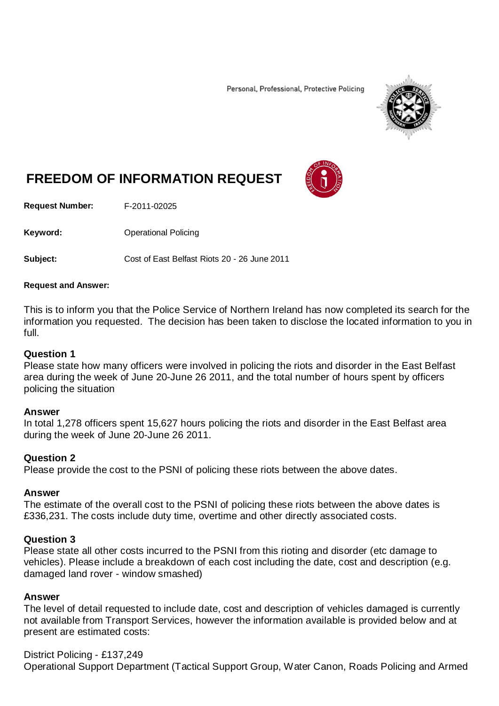Personal, Professional, Protective Policing



# **FREEDOM OF INFORMATION REQUEST**

**Request Number:** F-2011-02025

Keyword: **Calcular Contract Contract Contract Contract Contract Contract Contract Contract Contract Contract Contract Contract Contract Contract Contract Contract Contract Contract Contract Contract Contract Contract Contr** 

**Subject:** Cost of East Belfast Riots 20 - 26 June 2011

#### **Request and Answer:**

This is to inform you that the Police Service of Northern Ireland has now completed its search for the information you requested. The decision has been taken to disclose the located information to you in full.

### **Question 1**

Please state how many officers were involved in policing the riots and disorder in the East Belfast area during the week of June 20-June 26 2011, and the total number of hours spent by officers policing the situation

#### **Answer**

In total 1,278 officers spent 15,627 hours policing the riots and disorder in the East Belfast area during the week of June 20-June 26 2011.

### **Question 2**

Please provide the cost to the PSNI of policing these riots between the above dates.

### **Answer**

The estimate of the overall cost to the PSNI of policing these riots between the above dates is £336,231. The costs include duty time, overtime and other directly associated costs.

### **Question 3**

Please state all other costs incurred to the PSNI from this rioting and disorder (etc damage to vehicles). Please include a breakdown of each cost including the date, cost and description (e.g. damaged land rover - window smashed)

### **Answer**

The level of detail requested to include date, cost and description of vehicles damaged is currently not available from Transport Services, however the information available is provided below and at present are estimated costs:

District Policing - £137,249

Operational Support Department (Tactical Support Group, Water Canon, Roads Policing and Armed